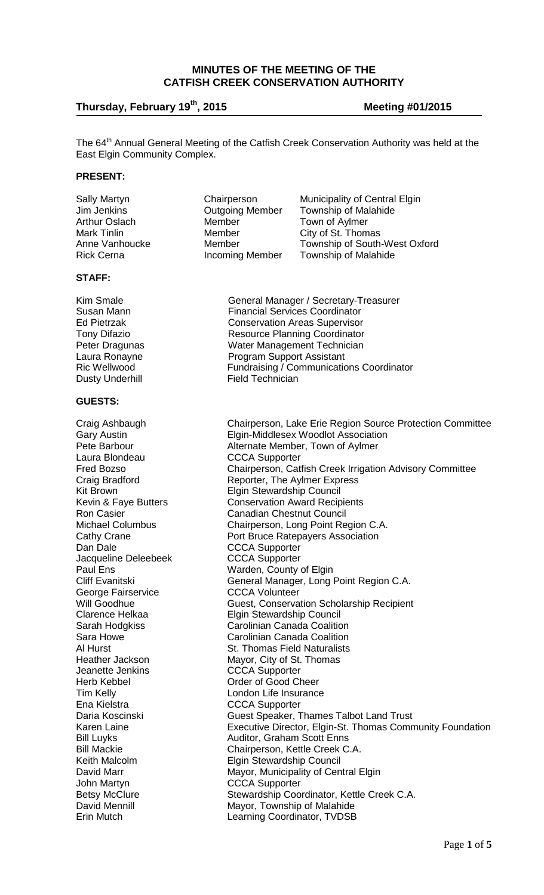## **MINUTES OF THE MEETING OF THE CATFISH CREEK CONSERVATION AUTHORITY**

# **Thursday, February 19th**

**, 2015 Meeting #01/2015**

The 64<sup>th</sup> Annual General Meeting of the Catfish Creek Conservation Authority was held at the East Elgin Community Complex.

#### **PRESENT:**

#### **STAFF:**

### **GUESTS:**

Dan Dale **CCCA** Supporter Jacqueline Deleebeek CCCA Supporter<br>Paul Ens Varden, County George Fairservice **CCCA Volunteer**<br>
Will Goodhue **COCCA Volunteer** Jeanette Jenkins CCCA Supporter Herb Kebbel **Call Communist Communist Communist Communist Communist Communist Communist Communist Communist Communist Communist Communist Communist Communist Communist Communist Communist Communist Communist Communist Comm** 

Arthur Oslach **Member** Town of Aylmer<br>
Member City of St. Thom

Sally Martyn **Chairperson** Municipality of Central Elgin Jim Jenkins Outgoing Member Township of Malahide City of St. Thomas Anne Vanhoucke Member Township of South-West Oxford<br>Rick Cerna **Member** Township of Malahide Township of Malahide

Kim Smale **General Manager / Secretary-Treasurer** Susan Mann **Financial Services Coordinator** Ed Pietrzak Conservation Areas Supervisor Tony Difazio **Resource Planning Coordinator** Peter Dragunas **Nater Management Technician**<br>
Laura Ronayne **Nater Americ Program Support Assistant** Laura Ronayne **Communist Communist Program Support Assistant**<br>Ric Wellwood **Arrival Communist Communication** Fundraising / Communications Coordinator Dusty Underhill Field Technician

Craig Ashbaugh Chairperson, Lake Erie Region Source Protection Committee Gary Austin **Elgin-Middlesex Woodlot Association**<br>Pete Barbour **Matter Alternate Member. Town of Avimer** Pete Barbour **Alternate Member, Town of Aylmer**<br>
Laura Blondeau **CCCA** Supporter **CCCA Supporter** Fred Bozso Chairperson, Catfish Creek Irrigation Advisory Committee Craig Bradford **Reporter**, The Aylmer Express Kit Brown<br>
Kevin & Faye Butters<br>
Conservation Award Recip Kevin & Faye Butters<br>
Ron Casier Canadian Chestnut Council **Canadian Chestnut Council** Michael Columbus Chairperson, Long Point Region C.A. Cathy Crane **Port Bruce Ratepayers Association** Warden, County of Elgin Cliff Evanitski General Manager, Long Point Region C.A. Guest, Conservation Scholarship Recipient Clarence Helkaa Elgin Stewardship Council<br>Carah Hodgkiss Carolinian Canada Coalitio Sarah Hodgkiss Carolinian Canada Coalition<br>Sara Howe Carolinian Canada Coalition Sara Howe **Carolinian Canada Coalition**<br>Al Hurst **Carolinian Canada Coalition**<br>St. Thomas Field Naturalists Al Hurst **St. Thomas Field Naturalists**<br>
Heather Jackson Mayor, City of St. Thomas Mayor, City of St. Thomas Tim Kelly<br>
Ena Kielstra<br>
Ena Kielstra CCCA Supporter Daria Koscinski Guest Speaker, Thames Talbot Land Trust Karen Laine **Executive Director, Elgin-St. Thomas Community Foundation** Bill Luyks<br>Bill Mackie Martin Bill Mackie<br>Chairperson, Kettle Creek C Bill Mackie Chairperson, Kettle Creek C.A.<br>
Keith Malcolm Council Clean Elgin Stewardship Council **Elgin Stewardship Council** David Marr Mayor, Municipality of Central Elgin<br>
John Martyn CCCA Supporter CCCA Supporter Betsy McClure **Stewardship Coordinator, Kettle Creek C.A.**<br>David Mennill **Stephand Mayor, Township of Malahide** Mayor, Township of Malahide Erin Mutch Learning Coordinator, TVDSB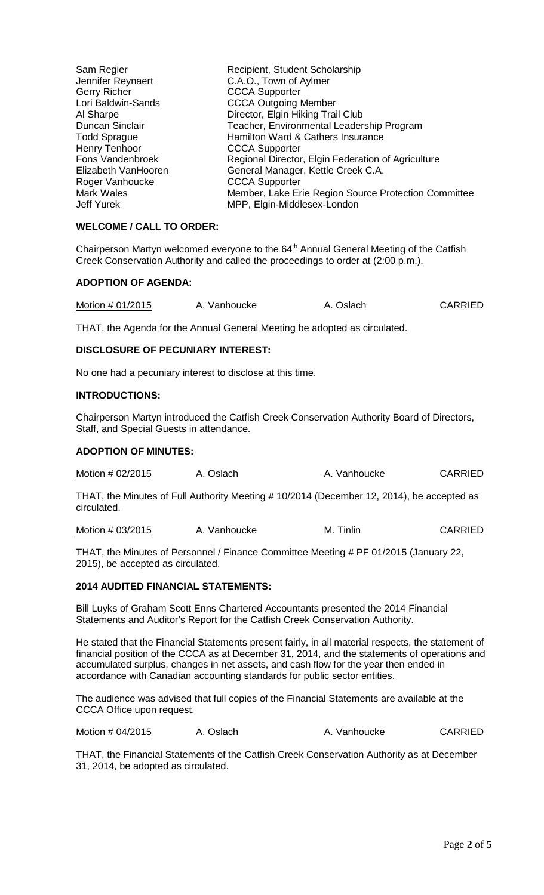| Sam Regier           | Recipient, Student Scholarship                       |
|----------------------|------------------------------------------------------|
| Jennifer Reynaert    | C.A.O., Town of Aylmer                               |
| <b>Gerry Richer</b>  | <b>CCCA Supporter</b>                                |
| Lori Baldwin-Sands   | <b>CCCA Outgoing Member</b>                          |
| Al Sharpe            | Director, Elgin Hiking Trail Club                    |
| Duncan Sinclair      | Teacher, Environmental Leadership Program            |
| <b>Todd Sprague</b>  | Hamilton Ward & Cathers Insurance                    |
| <b>Henry Tenhoor</b> | <b>CCCA Supporter</b>                                |
| Fons Vandenbroek     | Regional Director, Elgin Federation of Agriculture   |
| Elizabeth VanHooren  | General Manager, Kettle Creek C.A.                   |
| Roger Vanhoucke      | <b>CCCA Supporter</b>                                |
| <b>Mark Wales</b>    | Member, Lake Erie Region Source Protection Committee |
| Jeff Yurek           | MPP, Elgin-Middlesex-London                          |

## **WELCOME / CALL TO ORDER:**

Chairperson Martyn welcomed everyone to the  $64<sup>th</sup>$  Annual General Meeting of the Catfish Creek Conservation Authority and called the proceedings to order at (2:00 p.m.).

### **ADOPTION OF AGENDA:**

| Motion # 01/2015 | A. Vanhoucke | A. Oslach | <b>CARRIED</b> |
|------------------|--------------|-----------|----------------|
|------------------|--------------|-----------|----------------|

THAT, the Agenda for the Annual General Meeting be adopted as circulated.

## **DISCLOSURE OF PECUNIARY INTEREST:**

No one had a pecuniary interest to disclose at this time.

#### **INTRODUCTIONS:**

Chairperson Martyn introduced the Catfish Creek Conservation Authority Board of Directors, Staff, and Special Guests in attendance.

## **ADOPTION OF MINUTES:**

| Motion # 02/2015 | A. Oslach | A. Vanhoucke | <b>CARRIED</b> |
|------------------|-----------|--------------|----------------|
|------------------|-----------|--------------|----------------|

THAT, the Minutes of Full Authority Meeting # 10/2014 (December 12, 2014), be accepted as circulated.

Motion # 03/2015 A. Vanhoucke M. Tinlin CARRIED

THAT, the Minutes of Personnel / Finance Committee Meeting # PF 01/2015 (January 22, 2015), be accepted as circulated.

## **2014 AUDITED FINANCIAL STATEMENTS:**

Bill Luyks of Graham Scott Enns Chartered Accountants presented the 2014 Financial Statements and Auditor's Report for the Catfish Creek Conservation Authority.

He stated that the Financial Statements present fairly, in all material respects, the statement of financial position of the CCCA as at December 31, 2014, and the statements of operations and accumulated surplus, changes in net assets, and cash flow for the year then ended in accordance with Canadian accounting standards for public sector entities.

The audience was advised that full copies of the Financial Statements are available at the CCCA Office upon request.

Motion # 04/2015 A. Oslach A. Vanhoucke CARRIED

THAT, the Financial Statements of the Catfish Creek Conservation Authority as at December 31, 2014, be adopted as circulated.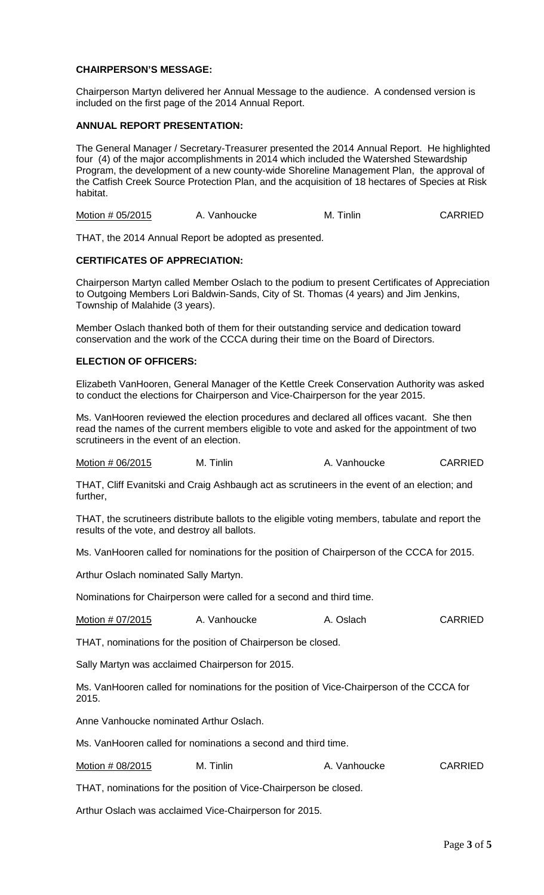### **CHAIRPERSON'S MESSAGE:**

Chairperson Martyn delivered her Annual Message to the audience. A condensed version is included on the first page of the 2014 Annual Report.

### **ANNUAL REPORT PRESENTATION:**

The General Manager / Secretary-Treasurer presented the 2014 Annual Report. He highlighted four (4) of the major accomplishments in 2014 which included the Watershed Stewardship Program, the development of a new county-wide Shoreline Management Plan, the approval of the Catfish Creek Source Protection Plan, and the acquisition of 18 hectares of Species at Risk habitat.

Motion # 05/2015 A. Vanhoucke M. Tinlin CARRIED

THAT, the 2014 Annual Report be adopted as presented.

#### **CERTIFICATES OF APPRECIATION:**

Chairperson Martyn called Member Oslach to the podium to present Certificates of Appreciation to Outgoing Members Lori Baldwin-Sands, City of St. Thomas (4 years) and Jim Jenkins, Township of Malahide (3 years).

Member Oslach thanked both of them for their outstanding service and dedication toward conservation and the work of the CCCA during their time on the Board of Directors.

#### **ELECTION OF OFFICERS:**

Elizabeth VanHooren, General Manager of the Kettle Creek Conservation Authority was asked to conduct the elections for Chairperson and Vice-Chairperson for the year 2015.

Ms. VanHooren reviewed the election procedures and declared all offices vacant. She then read the names of the current members eligible to vote and asked for the appointment of two scrutineers in the event of an election.

Motion # 06/2015 M. Tinlin A. Vanhoucke CARRIED

THAT, Cliff Evanitski and Craig Ashbaugh act as scrutineers in the event of an election; and further,

THAT, the scrutineers distribute ballots to the eligible voting members, tabulate and report the results of the vote, and destroy all ballots.

Ms. VanHooren called for nominations for the position of Chairperson of the CCCA for 2015.

Arthur Oslach nominated Sally Martyn.

Nominations for Chairperson were called for a second and third time.

| Motion # 07/2015 | A. Vanhoucke | A. Oslach | <b>CARRIED</b> |
|------------------|--------------|-----------|----------------|
|------------------|--------------|-----------|----------------|

THAT, nominations for the position of Chairperson be closed.

Sally Martyn was acclaimed Chairperson for 2015.

Ms. VanHooren called for nominations for the position of Vice-Chairperson of the CCCA for 2015.

Anne Vanhoucke nominated Arthur Oslach.

Ms. VanHooren called for nominations a second and third time.

Motion # 08/2015 M. Tinlin A. Vanhoucke CARRIED

THAT, nominations for the position of Vice-Chairperson be closed.

Arthur Oslach was acclaimed Vice-Chairperson for 2015.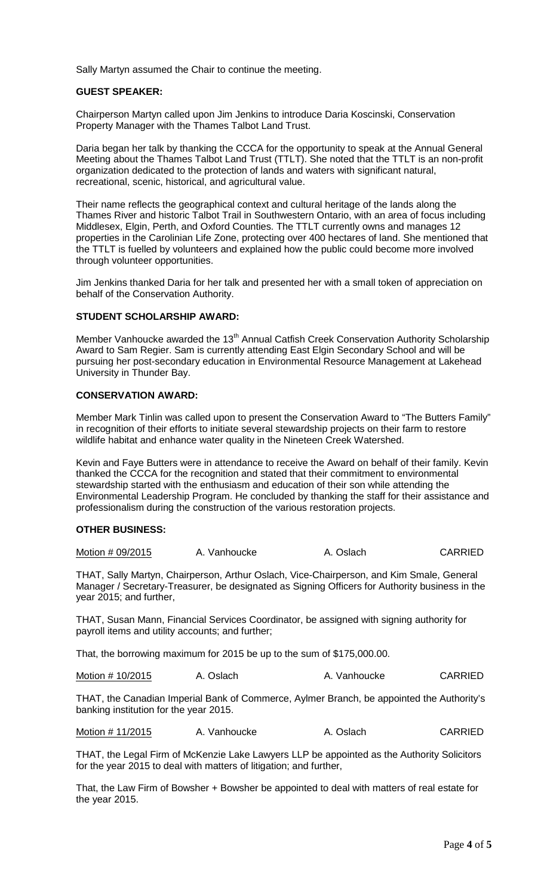Sally Martyn assumed the Chair to continue the meeting.

#### **GUEST SPEAKER:**

Chairperson Martyn called upon Jim Jenkins to introduce Daria Koscinski, Conservation Property Manager with the Thames Talbot Land Trust.

Daria began her talk by thanking the CCCA for the opportunity to speak at the Annual General Meeting about the Thames Talbot Land Trust (TTLT). She noted that the TTLT is an non-profit organization dedicated to the protection of lands and waters with significant natural, recreational, scenic, historical, and agricultural value.

Their name reflects the geographical context and cultural heritage of the lands along the Thames River and historic Talbot Trail in Southwestern Ontario, with an area of focus including Middlesex, Elgin, Perth, and Oxford Counties. The TTLT currently owns and manages 12 properties in the Carolinian Life Zone, protecting over 400 hectares of land. She mentioned that the TTLT is fuelled by volunteers and explained how the public could become more involved through volunteer opportunities.

Jim Jenkins thanked Daria for her talk and presented her with a small token of appreciation on behalf of the Conservation Authority.

### **STUDENT SCHOLARSHIP AWARD:**

Member Vanhoucke awarded the 13<sup>th</sup> Annual Catfish Creek Conservation Authority Scholarship Award to Sam Regier. Sam is currently attending East Elgin Secondary School and will be pursuing her post-secondary education in Environmental Resource Management at Lakehead University in Thunder Bay.

# **CONSERVATION AWARD:**

Member Mark Tinlin was called upon to present the Conservation Award to "The Butters Family" in recognition of their efforts to initiate several stewardship projects on their farm to restore wildlife habitat and enhance water quality in the Nineteen Creek Watershed.

Kevin and Faye Butters were in attendance to receive the Award on behalf of their family. Kevin thanked the CCCA for the recognition and stated that their commitment to environmental stewardship started with the enthusiasm and education of their son while attending the Environmental Leadership Program. He concluded by thanking the staff for their assistance and professionalism during the construction of the various restoration projects.

## **OTHER BUSINESS:**

| Motion # 09/2015 | A. Vanhoucke | A. Oslach | <b>CARRIED</b> |
|------------------|--------------|-----------|----------------|
|------------------|--------------|-----------|----------------|

THAT, Sally Martyn, Chairperson, Arthur Oslach, Vice-Chairperson, and Kim Smale, General Manager / Secretary-Treasurer, be designated as Signing Officers for Authority business in the year 2015; and further,

THAT, Susan Mann, Financial Services Coordinator, be assigned with signing authority for payroll items and utility accounts; and further;

That, the borrowing maximum for 2015 be up to the sum of \$175,000.00.

Motion # 10/2015 A. Oslach A. Vanhoucke CARRIED

THAT, the Canadian Imperial Bank of Commerce, Aylmer Branch, be appointed the Authority's banking institution for the year 2015.

Motion # 11/2015 A. Vanhoucke A. Oslach CARRIED

THAT, the Legal Firm of McKenzie Lake Lawyers LLP be appointed as the Authority Solicitors for the year 2015 to deal with matters of litigation; and further,

That, the Law Firm of Bowsher + Bowsher be appointed to deal with matters of real estate for the year 2015.